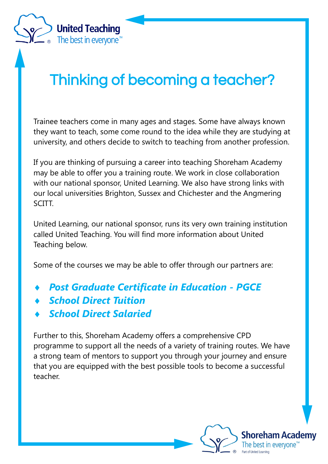

Trainee teachers come in many ages and stages. Some have always known they want to teach, some come round to the idea while they are studying at university, and others decide to switch to teaching from another profession.

If you are thinking of pursuing a career into teaching Shoreham Academy may be able to offer you a training route. We work in close collaboration with our national sponsor, United Learning. We also have strong links with our local universities Brighton, Sussex and Chichester and the Angmering SCITT.

United Learning, our national sponsor, runs its very own training institution called United Teaching. You will find more information about United Teaching below.

Some of the courses we may be able to offer through our partners are:

- *Post Graduate Certificate in Education - PGCE*
- *School Direct Tuition*

**United Teaching** 

The best in everyone<sup>™</sup>

*School Direct Salaried*

Further to this, Shoreham Academy offers a comprehensive CPD programme to support all the needs of a variety of training routes. We have a strong team of mentors to support you through your journey and ensure that you are equipped with the best possible tools to become a successful teacher.

> **Shoreham Academy** best in evervone"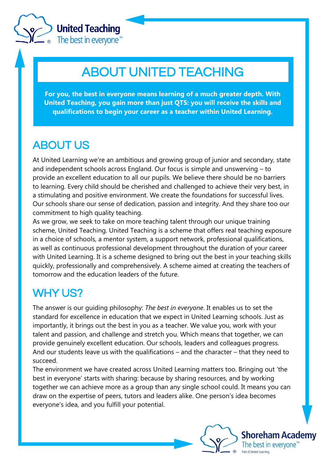

**United Teaching** The best in everyone<sup>™</sup>

# ABOUT UNITED TEACHING

**For you, the best in everyone means learning of a much greater depth. With United Teaching, you gain more than just QTS: you will receive the skills and qualifications to begin your career as a teacher within United Learning.**

# ABOUT US

At United Learning we're an ambitious and growing group of junior and secondary, state and independent schools across England. Our focus is simple and unswerving – to provide an excellent education to all our pupils. We believe there should be no barriers to learning. Every child should be cherished and challenged to achieve their very best, in a stimulating and positive environment. We create the foundations for successful lives. Our schools share our sense of dedication, passion and integrity. And they share too our commitment to high quality teaching.

As we grow, we seek to take on more teaching talent through our unique training scheme, United Teaching. United Teaching is a scheme that offers real teaching exposure in a choice of schools, a mentor system, a support network, professional qualifications, as well as continuous professional development throughout the duration of your career with United Learning. It is a scheme designed to bring out the best in your teaching skills quickly, professionally and comprehensively. A scheme aimed at creating the teachers of tomorrow and the education leaders of the future.

## WHY US?

The answer is our guiding philosophy: *The best in everyone*. It enables us to set the standard for excellence in education that we expect in United Learning schools. Just as importantly, it brings out the best in you as a teacher. We value you, work with your talent and passion, and challenge and stretch you. Which means that together, we can provide genuinely excellent education. Our schools, leaders and colleagues progress. And our students leave us with the qualifications – and the character – that they need to succeed.

The environment we have created across United Learning matters too. Bringing out 'the best in everyone' starts with sharing: because by sharing resources, and by working together we can achieve more as a group than any single school could. It means you can draw on the expertise of peers, tutors and leaders alike. One person's idea becomes everyone's idea, and you fulfill your potential.

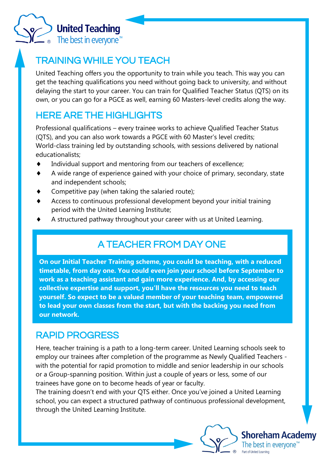

#### TRAINING WHILE YOU TEACH

United Teaching offers you the opportunity to train while you teach. This way you can get the teaching qualifications you need without going back to university, and without delaying the start to your career. You can train for Qualified Teacher Status (QTS) on its own, or you can go for a PGCE as well, earning 60 Masters-level credits along the way.

#### HERE ARE THE HIGHLIGHTS

Professional qualifications – every trainee works to achieve Qualified Teacher Status (QTS), and you can also work towards a PGCE with 60 Master's level credits; World-class training led by outstanding schools, with sessions delivered by national educationalists;

- Individual support and mentoring from our teachers of excellence;
- A wide range of experience gained with your choice of primary, secondary, state and independent schools;
- Competitive pay (when taking the [salaried route\);](http://www.unitedteaching.org.uk/about-united-teaching/salary-options)
- Access to continuous professional development beyond your initial training period with the United Learning Institute;
- A structured pathway throughout your career with us at United Learning.

## A TEACHER FROM DAY ONE

**On our Initial Teacher Training scheme, you could be teaching, with a reduced timetable, from day one. You could even join your school before September to work as a teaching assistant and gain more experience. And, by accessing our collective expertise and support, you'll have the resources you need to teach yourself. So expect to be a valued member of your teaching team, empowered to lead your own classes from the start, but with the backing you need from our network.** 

#### RAPID PROGRESS

Here, teacher training is a path to a long-term career. United Learning schools seek to employ our trainees after completion of the programme as Newly Qualified Teachers with the potential for rapid promotion to middle and senior leadership in our schools or a Group-spanning position. Within just a couple of years or less, some of our trainees have gone on to become heads of year or faculty.

The training doesn't end with your QTS either. Once you've joined a United Learning school, you can expect a structured pathway of continuous professional development, through the United Learning Institute.